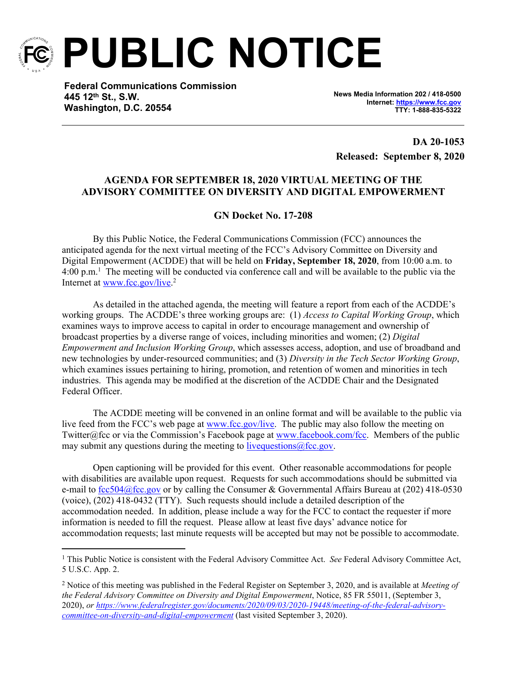

**PUBLIC NOTICE**

**Federal Communications Commission 445 12th St., S.W. Washington, D.C. 20554**

**News Media Information 202 / 418-0500 Internet:<https://www.fcc.gov> TTY: 1-888-835-5322**

**DA 20-1053 Released: September 8, 2020**

## **AGENDA FOR SEPTEMBER 18, 2020 VIRTUAL MEETING OF THE ADVISORY COMMITTEE ON DIVERSITY AND DIGITAL EMPOWERMENT**

#### **GN Docket No. 17-208**

By this Public Notice, the Federal Communications Commission (FCC) announces the anticipated agenda for the next virtual meeting of the FCC's Advisory Committee on Diversity and Digital Empowerment (ACDDE) that will be held on **Friday, September 18, 2020**, from 10:00 a.m. to 4:00 p.m.<sup>1</sup> The meeting will be conducted via conference call and will be available to the public via the Internet at [www.fcc.gov/live](http://www.fcc.gov/live).<sup>2</sup>

As detailed in the attached agenda, the meeting will feature a report from each of the ACDDE's working groups. The ACDDE's three working groups are: (1) *Access to Capital Working Group*, which examines ways to improve access to capital in order to encourage management and ownership of broadcast properties by a diverse range of voices, including minorities and women; (2) *Digital Empowerment and Inclusion Working Group*, which assesses access, adoption, and use of broadband and new technologies by under-resourced communities; and (3) *Diversity in the Tech Sector Working Group*, which examines issues pertaining to hiring, promotion, and retention of women and minorities in tech industries. This agenda may be modified at the discretion of the ACDDE Chair and the Designated Federal Officer.

The ACDDE meeting will be convened in an online format and will be available to the public via live feed from the FCC's web page at [www.fcc.gov/live.](http://www.fcc.gov/live) The public may also follow the meeting on Twitter@fcc or via the Commission's Facebook page at [www.facebook.com/fcc](http://www.facebook.com/fcc). Members of the public may submit any questions during the meeting to live questions  $@$  fcc.gov.

Open captioning will be provided for this event. Other reasonable accommodations for people with disabilities are available upon request. Requests for such accommodations should be submitted via e-mail to [fcc504@fcc.gov](mailto:fcc504@fcc.gov) or by calling the Consumer & Governmental Affairs Bureau at (202) 418-0530 (voice), (202) 418-0432 (TTY). Such requests should include a detailed description of the accommodation needed. In addition, please include a way for the FCC to contact the requester if more information is needed to fill the request. Please allow at least five days' advance notice for accommodation requests; last minute requests will be accepted but may not be possible to accommodate.

<sup>&</sup>lt;sup>1</sup> This Public Notice is consistent with the Federal Advisory Committee Act. *See* Federal Advisory Committee Act, 5 U.S.C. App. 2.

<sup>2</sup> Notice of this meeting was published in the Federal Register on September 3, 2020, and is available at *Meeting of the Federal Advisory Committee on Diversity and Digital Empowerment*, Notice, 85 FR 55011, (September 3, 2020), *or [https://www.federalregister.gov/documents/2020/09/03/2020-19448/meeting-of-the-federal-advisory](https://www.federalregister.gov/documents/2020/09/03/2020-19448/meeting-of-the-federal-advisory-committee-on-diversity-and-digital-empowerment)[committee-on-diversity-and-digital-empowerment](https://www.federalregister.gov/documents/2020/09/03/2020-19448/meeting-of-the-federal-advisory-committee-on-diversity-and-digital-empowerment)* (last visited September 3, 2020).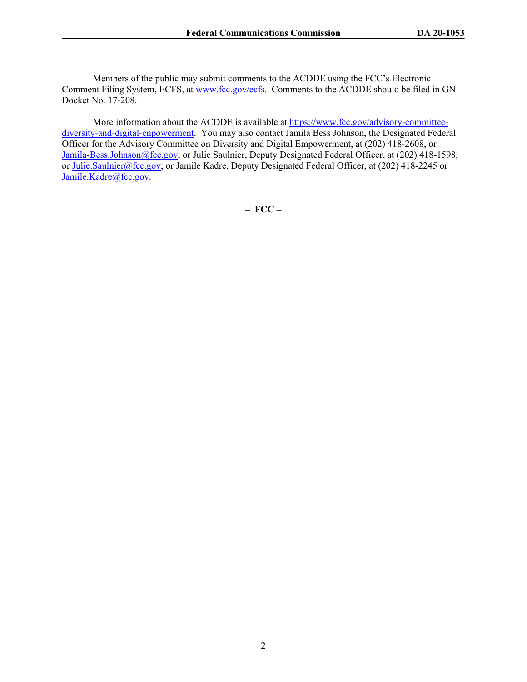Members of the public may submit comments to the ACDDE using the FCC's Electronic Comment Filing System, ECFS, at [www.fcc.gov/ecfs.](http://www.fcc.gov/ecfs) Comments to the ACDDE should be filed in GN Docket No. 17-208.

More information about the ACDDE is available at [https://www.fcc.gov/advisory-committee](https://www.fcc.gov/advisory-committee-diversity-and-digital-enpowerment)[diversity-and-digital-enpowerment](https://www.fcc.gov/advisory-committee-diversity-and-digital-enpowerment). You may also contact Jamila Bess Johnson, the Designated Federal Officer for the Advisory Committee on Diversity and Digital Empowerment, at (202) 418-2608, or [Jamila-Bess.Johnson@fcc.gov,](mailto:Jamila-Bess.Johnson@fcc.gov) or Julie Saulnier, Deputy Designated Federal Officer, at (202) 418-1598, or [Julie.Saulnier@fcc.gov;](mailto:Julie.Saulnier@fcc.gov) or Jamile Kadre, Deputy Designated Federal Officer, at (202) 418-2245 or [Jamile.Kadre@fcc.gov](mailto:Jamile.Kadre@fcc.gov).

**– FCC –**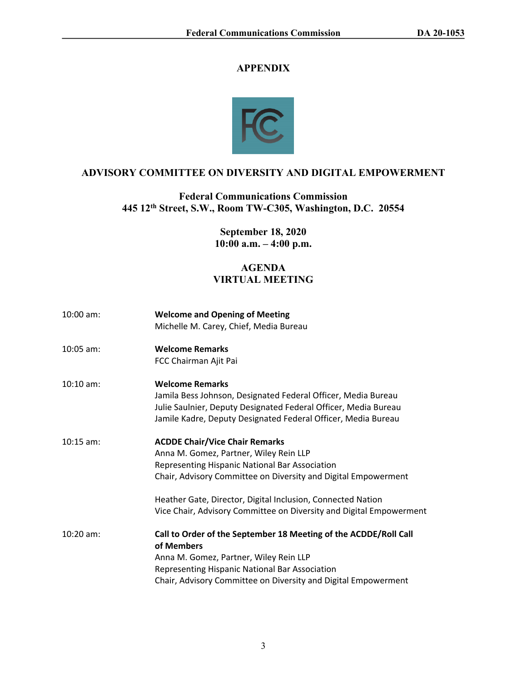# **APPENDIX**



# **ADVISORY COMMITTEE ON DIVERSITY AND DIGITAL EMPOWERMENT**

**Federal Communications Commission 445 12th Street, S.W., Room TW-C305, Washington, D.C. 20554**

> **September 18, 2020 10:00 a.m. – 4:00 p.m.**

# **AGENDA VIRTUAL MEETING**

| $10:00$ am: | <b>Welcome and Opening of Meeting</b><br>Michelle M. Carey, Chief, Media Bureau                                                                                                                                                              |
|-------------|----------------------------------------------------------------------------------------------------------------------------------------------------------------------------------------------------------------------------------------------|
| $10:05$ am: | <b>Welcome Remarks</b><br>FCC Chairman Ajit Pai                                                                                                                                                                                              |
| $10:10$ am: | <b>Welcome Remarks</b><br>Jamila Bess Johnson, Designated Federal Officer, Media Bureau<br>Julie Saulnier, Deputy Designated Federal Officer, Media Bureau<br>Jamile Kadre, Deputy Designated Federal Officer, Media Bureau                  |
| $10:15$ am: | <b>ACDDE Chair/Vice Chair Remarks</b><br>Anna M. Gomez, Partner, Wiley Rein LLP<br>Representing Hispanic National Bar Association<br>Chair, Advisory Committee on Diversity and Digital Empowerment                                          |
|             | Heather Gate, Director, Digital Inclusion, Connected Nation<br>Vice Chair, Advisory Committee on Diversity and Digital Empowerment                                                                                                           |
| $10:20$ am: | Call to Order of the September 18 Meeting of the ACDDE/Roll Call<br>of Members<br>Anna M. Gomez, Partner, Wiley Rein LLP<br>Representing Hispanic National Bar Association<br>Chair, Advisory Committee on Diversity and Digital Empowerment |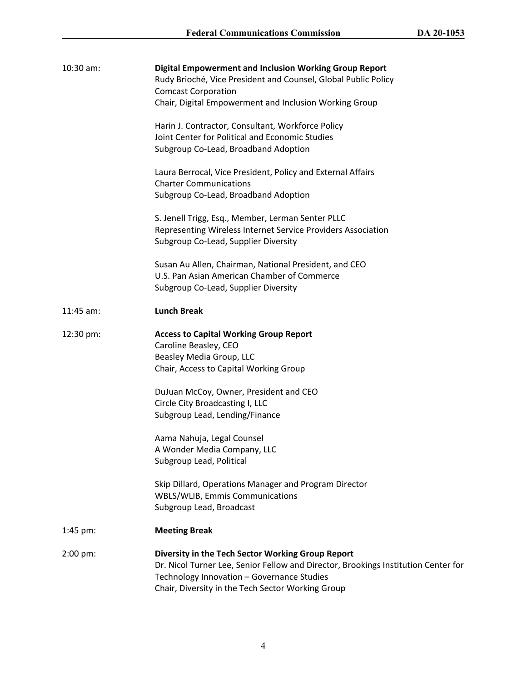| 10:30 am:   | <b>Digital Empowerment and Inclusion Working Group Report</b><br>Rudy Brioché, Vice President and Counsel, Global Public Policy<br><b>Comcast Corporation</b><br>Chair, Digital Empowerment and Inclusion Working Group<br>Harin J. Contractor, Consultant, Workforce Policy<br>Joint Center for Political and Economic Studies<br>Subgroup Co-Lead, Broadband Adoption<br>Laura Berrocal, Vice President, Policy and External Affairs<br><b>Charter Communications</b><br>Subgroup Co-Lead, Broadband Adoption<br>S. Jenell Trigg, Esq., Member, Lerman Senter PLLC<br>Representing Wireless Internet Service Providers Association<br>Subgroup Co-Lead, Supplier Diversity<br>Susan Au Allen, Chairman, National President, and CEO<br>U.S. Pan Asian American Chamber of Commerce<br>Subgroup Co-Lead, Supplier Diversity |
|-------------|------------------------------------------------------------------------------------------------------------------------------------------------------------------------------------------------------------------------------------------------------------------------------------------------------------------------------------------------------------------------------------------------------------------------------------------------------------------------------------------------------------------------------------------------------------------------------------------------------------------------------------------------------------------------------------------------------------------------------------------------------------------------------------------------------------------------------|
| $11:45$ am: | <b>Lunch Break</b>                                                                                                                                                                                                                                                                                                                                                                                                                                                                                                                                                                                                                                                                                                                                                                                                           |
| 12:30 pm:   | <b>Access to Capital Working Group Report</b><br>Caroline Beasley, CEO<br>Beasley Media Group, LLC<br>Chair, Access to Capital Working Group<br>DuJuan McCoy, Owner, President and CEO<br>Circle City Broadcasting I, LLC<br>Subgroup Lead, Lending/Finance<br>Aama Nahuja, Legal Counsel<br>A Wonder Media Company, LLC<br>Subgroup Lead, Political<br>Skip Dillard, Operations Manager and Program Director<br><b>WBLS/WLIB, Emmis Communications</b><br>Subgroup Lead, Broadcast                                                                                                                                                                                                                                                                                                                                          |
| 1:45 pm:    | <b>Meeting Break</b>                                                                                                                                                                                                                                                                                                                                                                                                                                                                                                                                                                                                                                                                                                                                                                                                         |
| 2:00 pm:    | Diversity in the Tech Sector Working Group Report<br>Dr. Nicol Turner Lee, Senior Fellow and Director, Brookings Institution Center for<br>Technology Innovation - Governance Studies<br>Chair, Diversity in the Tech Sector Working Group                                                                                                                                                                                                                                                                                                                                                                                                                                                                                                                                                                                   |